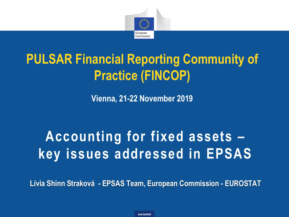

# **PULSAR Financial Reporting Community of Practice (FINCOP)**

**Vienna, 21-22 November 2019**

# **Accounting for fixed assets – key issues addressed in EPSAS**

**Lívia Shinn Straková - EPSAS Team, European Commission - EUROSTAT**

**eurostat**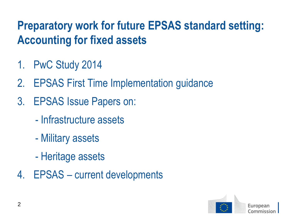## **Preparatory work for future EPSAS standard setting: Accounting for fixed assets**

- 1. PwC Study 2014
- 2. EPSAS First Time Implementation guidance
- 3. EPSAS Issue Papers on:
	- Infrastructure assets
	- Military assets
	- Heritage assets
- 4. EPSAS current developments

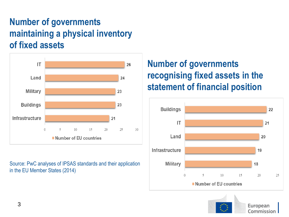#### **Number of governments maintaining a physical inventory of fixed assets**



Source: PwC analyses of IPSAS standards and their application in the EU Member States (2014)

#### **Number of governments recognising fixed assets in the statement of financial position**



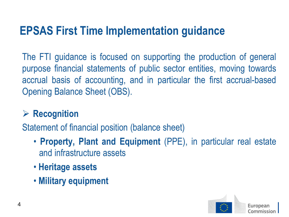### **EPSAS First Time Implementation guidance**

The FTI guidance is focused on supporting the production of general purpose financial statements of public sector entities, moving towards accrual basis of accounting, and in particular the first accrual-based Opening Balance Sheet (OBS).

#### ➢ **Recognition**

Statement of financial position (balance sheet)

- **Property, Plant and Equipment** (PPE), in particular real estate and infrastructure assets
- **Heritage assets**
- **Military equipment**

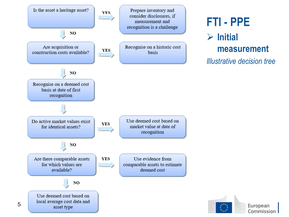

# **FTI - PPE**

#### ➢ **Initial measurement**

*Illustrative decision tree*

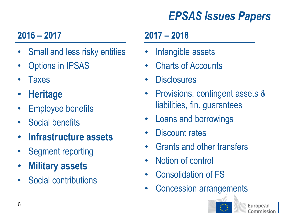## *EPSAS Issues Papers*

### **2016 – 2017**

- Small and less risky entities
- **Options in IPSAS**
- **Taxes**
- **Heritage**
- **Employee benefits**
- Social benefits
- **Infrastructure assets**
- Segment reporting
- **Military assets**
- Social contributions

### **2017 – 2018**

- Intangible assets
- Charts of Accounts
- **Disclosures**
- Provisions, contingent assets & liabilities, fin. guarantees
- Loans and borrowings
- Discount rates
- Grants and other transfers
- Notion of control
- Consolidation of FS
- Concession arrangements

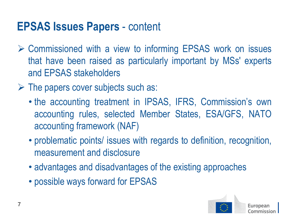### **EPSAS Issues Papers** - content

- ➢ Commissioned with a view to informing EPSAS work on issues that have been raised as particularly important by MSs' experts and EPSAS stakeholders
- $\triangleright$  The papers cover subjects such as:
	- the accounting treatment in IPSAS, IFRS, Commission's own accounting rules, selected Member States, ESA/GFS, NATO accounting framework (NAF)
	- problematic points/ issues with regards to definition, recognition, measurement and disclosure
	- advantages and disadvantages of the existing approaches
	- possible ways forward for EPSAS

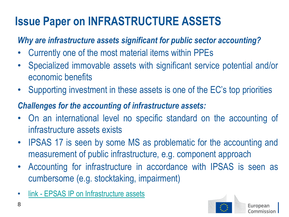## **Issue Paper on INFRASTRUCTURE ASSETS**

#### *Why are infrastructure assets significant for public sector accounting?*

- Currently one of the most material items within PPEs
- Specialized immovable assets with significant service potential and/or economic benefits
- Supporting investment in these assets is one of the EC's top priorities

#### *Challenges for the accounting of infrastructure assets:*

- On an international level no specific standard on the accounting of infrastructure assets exists
- IPSAS 17 is seen by some MS as problematic for the accounting and measurement of public infrastructure, e.g. component approach
- Accounting for infrastructure in accordance with IPSAS is seen as cumbersome (e.g. stocktaking, impairment)
- link [EPSAS IP on Infrastructure assets](https://ec.europa.eu/eurostat/web/epsas/key-documents/technical-developments)

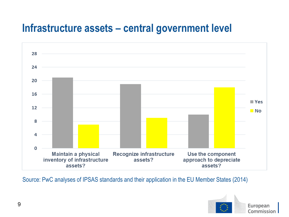### **Infrastructure assets – central government level**



Source: PwC analyses of IPSAS standards and their application in the EU Member States (2014)

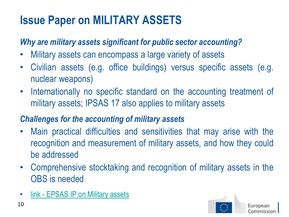## **Issue Paper on MILITARY ASSETS**

#### *Why are military assets significant for public sector accounting?*

- Military assets can encompass a large variety of assets
- Civilian assets (e.g. office buildings) versus specific assets (e.g. nuclear weapons)
- Internationally no specific standard on the accounting treatment of military assets; IPSAS 17 also applies to military assets

#### *Challenges for the accounting of military assets*

- Main practical difficulties and sensitivities that may arise with the recognition and measurement of military assets, and how they could be addressed
- Comprehensive stocktaking and recognition of military assets in the OBS is needed
- link [EPSAS IP on Military assets](https://ec.europa.eu/eurostat/web/epsas/key-documents/technical-developments)

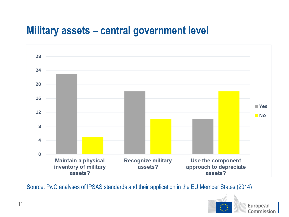### **Military assets – central government level**



Source: PwC analyses of IPSAS standards and their application in the EU Member States (2014)

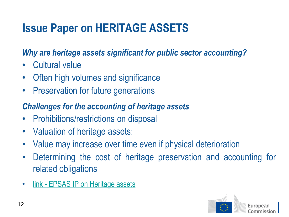## **Issue Paper on HERITAGE ASSETS**

#### *Why are heritage assets significant for public sector accounting?*

- Cultural value
- Often high volumes and significance
- **Preservation for future generations**

#### *Challenges for the accounting of heritage assets*

- Prohibitions/restrictions on disposal
- Valuation of heritage assets:
- Value may increase over time even if physical deterioration
- Determining the cost of heritage preservation and accounting for related obligations
- link [EPSAS IP on Heritage assets](https://ec.europa.eu/eurostat/web/epsas/key-documents/technical-developments)

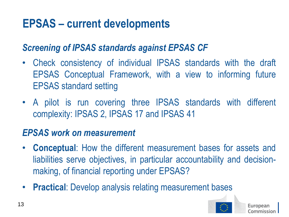## **EPSAS – current developments**

#### *Screening of IPSAS standards against EPSAS CF*

- Check consistency of individual IPSAS standards with the draft EPSAS Conceptual Framework, with a view to informing future EPSAS standard setting
- A pilot is run covering three IPSAS standards with different complexity: IPSAS 2, IPSAS 17 and IPSAS 41

#### *EPSAS work on measurement*

- **Conceptual**: How the different measurement bases for assets and liabilities serve objectives, in particular accountability and decisionmaking, of financial reporting under EPSAS?
- **Practical**: Develop analysis relating measurement bases